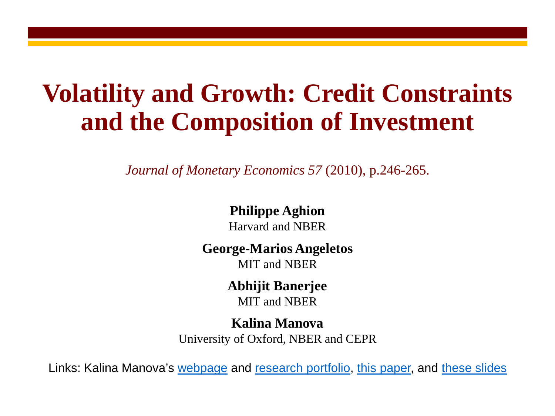### **Volatility and Growth: Credit Constraints and the Composition of Investment**

*Journal of Monetary Economics 57* (2010), p.246-265.

### **Philippe Aghion**

Harvard and NBER

#### **George-Marios Angeletos**

MIT and NBER

#### **Abhijit Banerjee**

MIT and NBER

#### **Kalina Manova**

University of Oxford, NBER and CEPR

Links: Kalina Manova's [webpage](http://users.ox.ac.uk/%7Eecon0451/index.html) and [research portfolio,](http://users.ox.ac.uk/%7Eecon0451/pubs.html) [this paper,](http://users.ox.ac.uk/%7Eecon0451/AABM.pdf) and [these slides](http://users.ox.ac.uk/%7Eecon0451/AABMslides.pdf)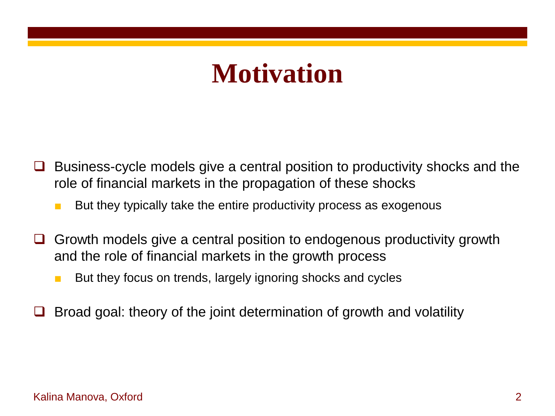## **Motivation**

- Business-cycle models give a central position to productivity shocks and the role of financial markets in the propagation of these shocks
	- But they typically take the entire productivity process as exogenous
- Growth models give a central position to endogenous productivity growth and the role of financial markets in the growth process
	- But they focus on trends, largely ignoring shocks and cycles
- Broad goal: theory of the joint determination of growth and volatility

#### Kalina Manova, Oxford 2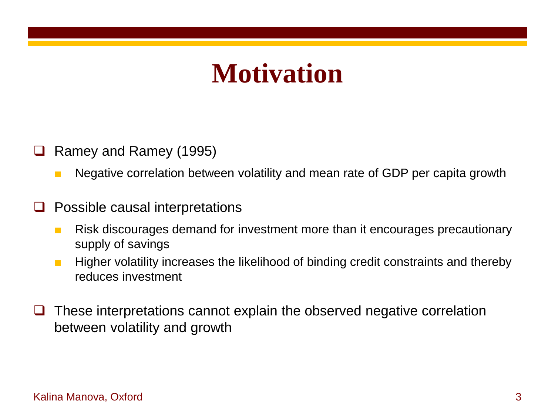## **Motivation**

- Ramey and Ramey (1995)
	- Negative correlation between volatility and mean rate of GDP per capita growth
- $\Box$  Possible causal interpretations
	- Risk discourages demand for investment more than it encourages precautionary supply of savings
	- Higher volatility increases the likelihood of binding credit constraints and thereby reduces investment
- $\Box$  These interpretations cannot explain the observed negative correlation between volatility and growth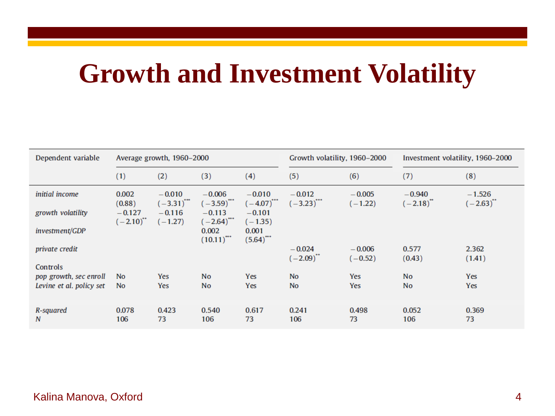# **Growth and Investment Volatility**

| Dependent variable       |                           | Average growth, 1960-2000  |                                      |                                  | Growth volatility, 1960-2000         |                       | Investment volatility, 1960–2000 |                            |  |
|--------------------------|---------------------------|----------------------------|--------------------------------------|----------------------------------|--------------------------------------|-----------------------|----------------------------------|----------------------------|--|
|                          | (1)                       | (2)                        | (3)                                  | (4)                              | (5)                                  | (6)                   | (7)                              | (8)                        |  |
| initial income           | 0.002<br>(0.88)           | $-0.010$<br>$(-3.31)^{44}$ | $-0.006$<br>$(-3.59)$ <sup>***</sup> | $-0.010$<br>$(-4.07)^{***}$      | $-0.012$<br>$(-3.23)$ <sup>***</sup> | $-0.005$<br>$(-1.22)$ | $-0.940$<br>$(-2.18)^{4}$        | $-1.526$<br>$(-2.63)^{**}$ |  |
| growth volatility        | $-0.127$<br>$(-2.10)^{4}$ | $-0.116$<br>$(-1.27)$      | $-0.113$<br>$(-2.64)$                | $-0.101$<br>$(-1.35)$            |                                      |                       |                                  |                            |  |
| investment/GDP           |                           |                            | 0.002<br>$(10.11)^{44}$              | 0.001<br>$(5.64)$ <sup>***</sup> |                                      |                       |                                  |                            |  |
| <i>private credit</i>    |                           |                            |                                      |                                  | $-0.024$<br>$(-2.09)^{4}$            | $-0.006$              | 0.577                            | 2.362                      |  |
| Controls                 |                           |                            |                                      |                                  |                                      | $(-0.52)$             | (0.43)                           | (1.41)                     |  |
| pop growth, sec enroll   | No.                       | Yes                        | <b>No</b>                            | Yes                              | <b>No</b>                            | Yes                   | <b>No</b>                        | Yes                        |  |
| Levine et al. policy set | <b>No</b>                 | Yes                        | <b>No</b>                            | Yes                              | <b>No</b>                            | Yes                   | <b>No</b>                        | Yes                        |  |
| R-squared<br>N           | 0.078<br>106              | 0.423<br>73                | 0.540<br>106                         | 0.617<br>73                      | 0.241<br>106                         | 0.498<br>73           | 0.052<br>106                     | 0.369<br>73                |  |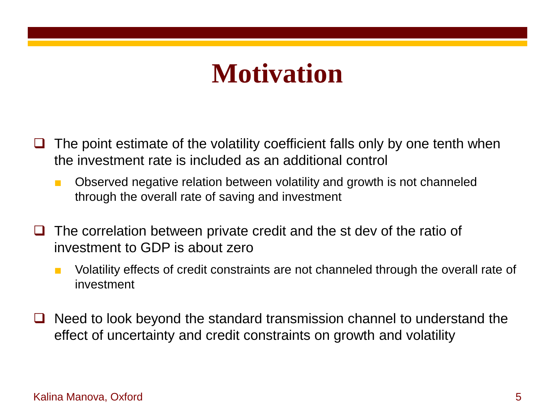## **Motivation**

- The point estimate of the volatility coefficient falls only by one tenth when the investment rate is included as an additional control
	- Observed negative relation between volatility and growth is not channeled through the overall rate of saving and investment
- $\Box$  The correlation between private credit and the st dev of the ratio of investment to GDP is about zero
	- Volatility effects of credit constraints are not channeled through the overall rate of investment
- Need to look beyond the standard transmission channel to understand the effect of uncertainty and credit constraints on growth and volatility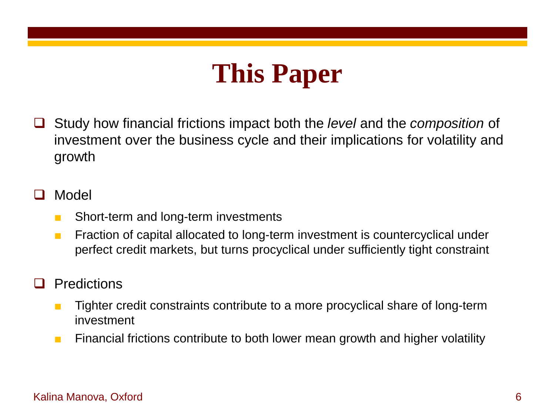# **This Paper**

 Study how financial frictions impact both the *level* and the *composition* of investment over the business cycle and their implications for volatility and growth

#### Model

- Short-term and long-term investments
- Fraction of capital allocated to long-term investment is countercyclical under perfect credit markets, but turns procyclical under sufficiently tight constraint

#### **Predictions**

- Tighter credit constraints contribute to a more procyclical share of long-term investment
- Financial frictions contribute to both lower mean growth and higher volatility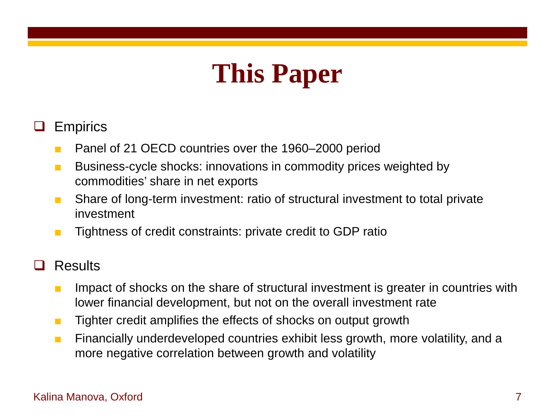# **This Paper**

### **Q** Empirics

- Panel of 21 OECD countries over the 1960–2000 period
- Business-cycle shocks: innovations in commodity prices weighted by commodities' share in net exports
- Share of long-term investment: ratio of structural investment to total private investment
- Tightness of credit constraints: private credit to GDP ratio

#### **Results**

- Impact of shocks on the share of structural investment is greater in countries with lower financial development, but not on the overall investment rate
- Tighter credit amplifies the effects of shocks on output growth
- Financially underdeveloped countries exhibit less growth, more volatility, and a more negative correlation between growth and volatility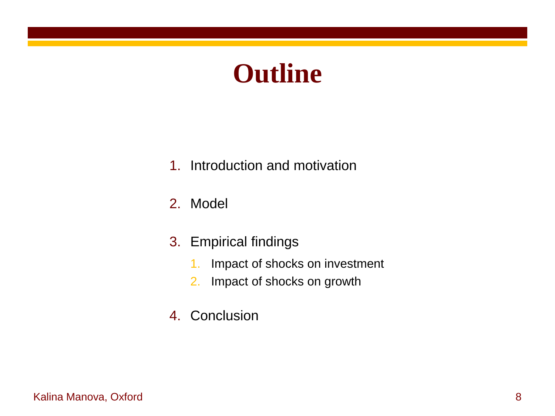# **Outline**

- 1. Introduction and motivation
- 2. Model
- 3. Empirical findings
	- 1. Impact of shocks on investment
	- 2. Impact of shocks on growth
- 4. Conclusion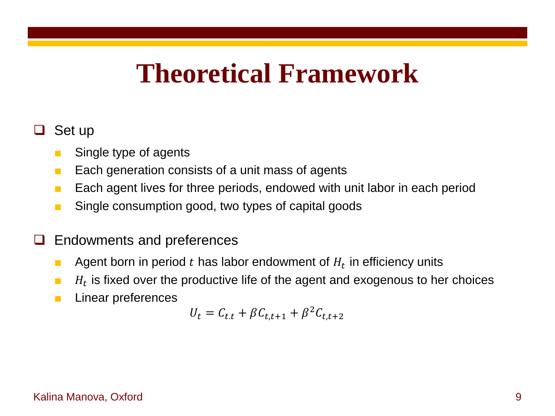### **Theoretical Framework**

#### Set up

- Single type of agents
- Each generation consists of a unit mass of agents
- Each agent lives for three periods, endowed with unit labor in each period
- Single consumption good, two types of capital goods
- Endowments and preferences
	- **■** Agent born in period t has labor endowment of  $H_t$  in efficiency units
	- $H_t$  is fixed over the productive life of the agent and exogenous to her choices
	- Linear preferences

$$
U_t = C_{t,t} + \beta C_{t,t+1} + \beta^2 C_{t,t+2}
$$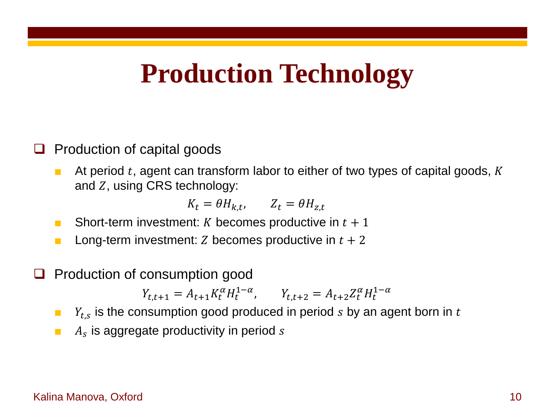### **Production Technology**

#### $\Box$  Production of capital goods

**At period t, agent can transform labor to either of two types of capital goods, K** and  $Z$ , using CRS technology:

 $K_t = \theta H_{k,t}$ ,  $Z_t = \theta H_{z,t}$ 

- **B** Short-term investment: K becomes productive in  $t + 1$
- **■** Long-term investment: Z becomes productive in  $t + 2$
- Production of consumption good

 $Y_{t,t+1} = A_{t+1} K_t^{\alpha} H_t^{1-\alpha}, \qquad Y_{t,t+2} = A_{t+2} Z_t^{\alpha} H_t^{1-\alpha}$ 

- $\blacksquare$   $Y_{t,s}$  is the consumption good produced in period s by an agent born in t
- $\blacksquare$   $A_s$  is aggregate productivity in period s

#### Kalina Manova, Oxford 10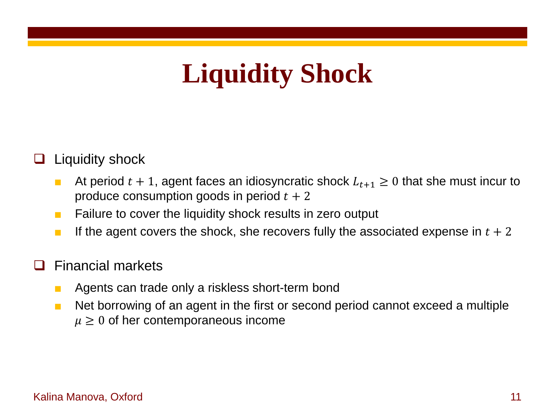# **Liquidity Shock**

### $\Box$  Liquidity shock

- At period  $t + 1$ , agent faces an idiosyncratic shock  $L_{t+1} \geq 0$  that she must incur to produce consumption goods in period  $t + 2$
- Failure to cover the liquidity shock results in zero output
- **If the agent covers the shock, she recovers fully the associated expense in**  $t + 2$

#### Financial markets

- Agents can trade only a riskless short-term bond
- Net borrowing of an agent in the first or second period cannot exceed a multiple  $\mu \geq 0$  of her contemporaneous income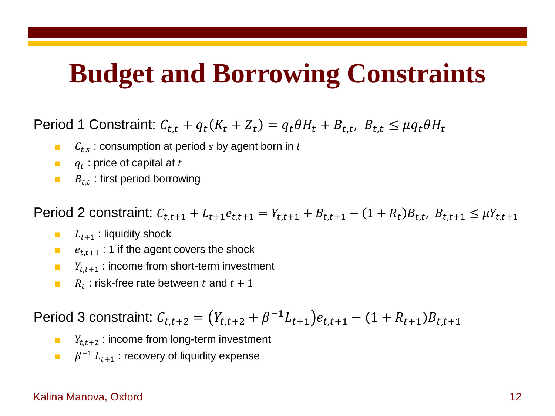### **Budget and Borrowing Constraints**

Period 1 Constraint:  $C_{t,t} + q_t(K_t + Z_t) = q_t \theta H_t + B_{t,t}$ ,  $B_{t,t} \leq \mu q_t \theta H_t$ 

- $\blacksquare$   $C_{t,s}$ : consumption at period s by agent born in t
- $q_t$ : price of capital at t
- $B_{t,t}$ : first period borrowing

Period 2 constraint:  $C_{t,t+1} + L_{t+1}e_{t,t+1} = Y_{t,t+1} + B_{t,t+1} - (1 + R_t)B_{t,t}$ ,  $B_{t,t+1} \leq \mu Y_{t,t+1}$ 

- $\blacksquare$   $L_{t+1}$ : liquidity shock
- $\blacksquare$   $e_{t,t+1}$ : 1 if the agent covers the shock
- $Y_{t,t+1}$  : income from short-term investment
- **B**  $R_t$  : risk-free rate between t and  $t + 1$

Period 3 constraint:  $C_{t,t+2} = (Y_{t,t+2} + \beta^{-1}L_{t+1})e_{t,t+1} - (1 + R_{t+1})B_{t,t+1}$ 

- $Y_{t,t+2}$  : income from long-term investment
- $\mathbf{B}^{-1}$   $L_{t+1}$ : recovery of liquidity expense

#### Kalina Manova, Oxford 12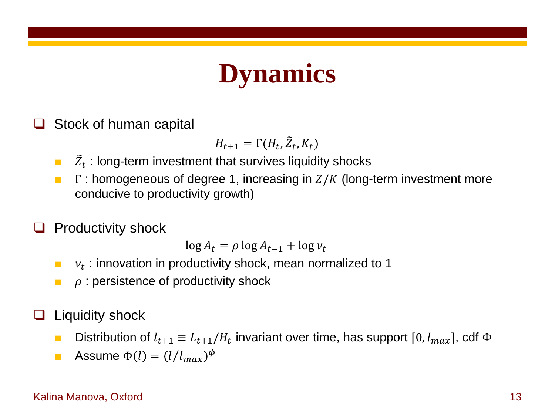# **Dynamics**

Stock of human capital

$$
H_{t+1} = \Gamma(H_t, \tilde{Z}_t, K_t)
$$

- $\blacksquare$   $\bar{Z}_t$  : long-term investment that survives liquidity shocks
- **F**  $\Gamma$  : homogeneous of degree 1, increasing in  $Z/K$  (long-term investment more conducive to productivity growth)

### Productivity shock

 $\log A_t = \rho \log A_{t-1} + \log \nu_t$ 

- $\mathbf{v}_t$ : innovation in productivity shock, mean normalized to 1
- $\rho$ : persistence of productivity shock
- $\Box$  Liquidity shock
	- Distribution of  $l_{t+1} \equiv L_{t+1}/H_t$  invariant over time, has support [0,  $l_{max}$ ], cdf  $\Phi$
	- **•** Assume  $\Phi(l) = (l/l_{max})^{\Phi}$

#### Kalina Manova, Oxford 13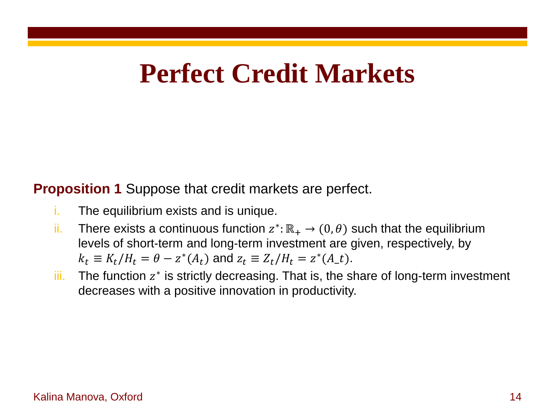## **Perfect Credit Markets**

**Proposition 1** Suppose that credit markets are perfect.

- i. The equilibrium exists and is unique.
- ii. There exists a continuous function  $z^* : \mathbb{R}_+ \to (0, \theta)$  such that the equilibrium levels of short-term and long-term investment are given, respectively, by  $k_t \equiv K_t / H_t = \theta - z^* (A_t)$  and  $z_t \equiv Z_t / H_t = z^* (A_t)$ .
- iii. The function  $z^*$  is strictly decreasing. That is, the share of long-term investment decreases with a positive innovation in productivity.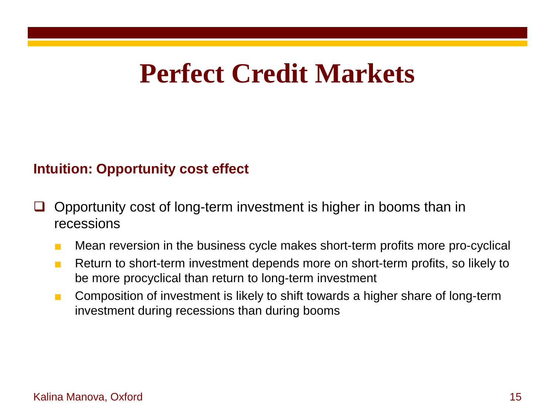### **Perfect Credit Markets**

#### **Intuition: Opportunity cost effect**

- $\Box$  Opportunity cost of long-term investment is higher in booms than in recessions
	- Mean reversion in the business cycle makes short-term profits more pro-cyclical
	- Return to short-term investment depends more on short-term profits, so likely to be more procyclical than return to long-term investment
	- Composition of investment is likely to shift towards a higher share of long-term investment during recessions than during booms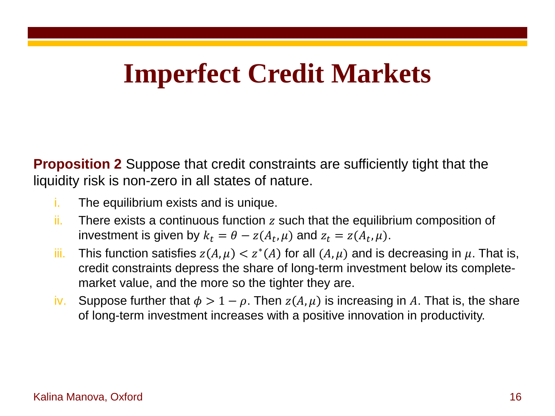## **Imperfect Credit Markets**

**Proposition 2** Suppose that credit constraints are sufficiently tight that the liquidity risk is non-zero in all states of nature.

- i. The equilibrium exists and is unique.
- $ii.$  There exists a continuous function  $z$  such that the equilibrium composition of investment is given by  $k_t = \theta - z(A_t, \mu)$  and  $z_t = z(A_t, \mu)$ .
- iii. This function satisfies  $z(A, \mu) < z^*(A)$  for all  $(A, \mu)$  and is decreasing in  $\mu$ . That is, credit constraints depress the share of long-term investment below its completemarket value, and the more so the tighter they are.
- iv. Suppose further that  $\phi > 1 \rho$ . Then  $z(A, \mu)$  is increasing in A. That is, the share of long-term investment increases with a positive innovation in productivity.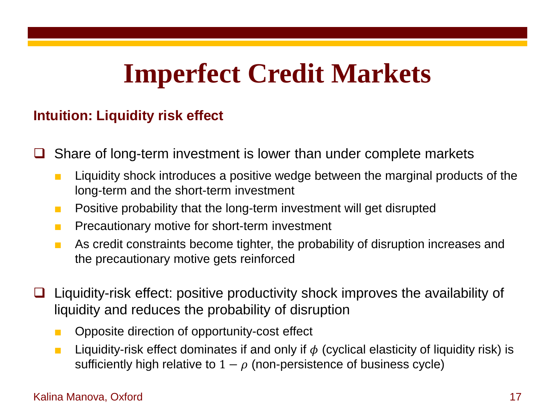# **Imperfect Credit Markets**

#### **Intuition: Liquidity risk effect**

Share of long-term investment is lower than under complete markets

- Liquidity shock introduces a positive wedge between the marginal products of the long-term and the short-term investment
- Positive probability that the long-term investment will get disrupted
- Precautionary motive for short-term investment
- As credit constraints become tighter, the probability of disruption increases and the precautionary motive gets reinforced
- $\Box$  Liquidity-risk effect: positive productivity shock improves the availability of liquidity and reduces the probability of disruption
	- Opposite direction of opportunity-cost effect
	- **■** Liquidity-risk effect dominates if and only if  $\phi$  (cyclical elasticity of liquidity risk) is sufficiently high relative to  $1 - \rho$  (non-persistence of business cycle)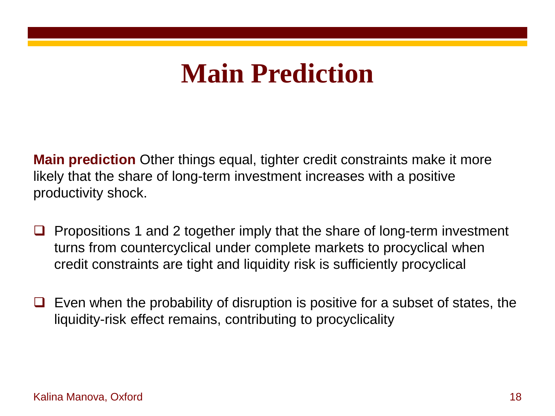# **Main Prediction**

**Main prediction** Other things equal, tighter credit constraints make it more likely that the share of long-term investment increases with a positive productivity shock.

- $\Box$  Propositions 1 and 2 together imply that the share of long-term investment turns from countercyclical under complete markets to procyclical when credit constraints are tight and liquidity risk is sufficiently procyclical
- $\Box$  Even when the probability of disruption is positive for a subset of states, the liquidity-risk effect remains, contributing to procyclicality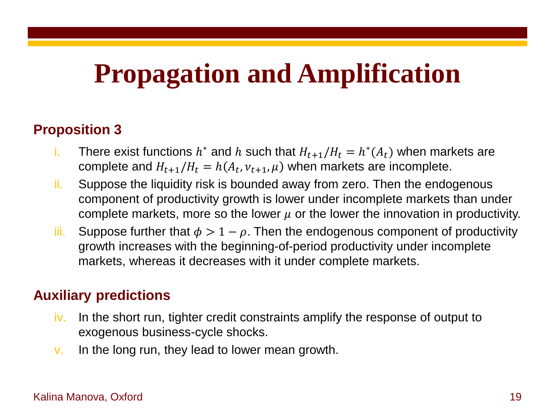## **Propagation and Amplification**

#### **Proposition 3**

- i. There exist functions  $h^*$  and h such that  $H_{t+1}/H_t = h^*(A_t)$  when markets are complete and  $H_{t+1}/H_t = h(A_t, v_{t+1}, \mu)$  when markets are incomplete.
- ii. Suppose the liquidity risk is bounded away from zero. Then the endogenous component of productivity growth is lower under incomplete markets than under complete markets, more so the lower  $\mu$  or the lower the innovation in productivity.
- iii. Suppose further that  $\phi > 1 \rho$ . Then the endogenous component of productivity growth increases with the beginning-of-period productivity under incomplete markets, whereas it decreases with it under complete markets.

#### **Auxiliary predictions**

- iv. In the short run, tighter credit constraints amplify the response of output to exogenous business-cycle shocks.
- v. In the long run, they lead to lower mean growth.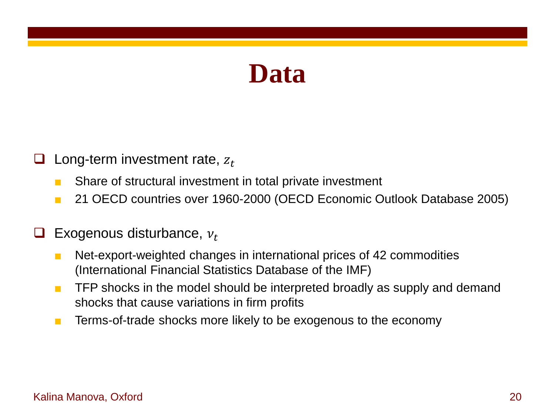### **Data**

- Long-term investment rate,  $z_t$ 
	- Share of structural investment in total private investment
	- 21 OECD countries over 1960-2000 (OECD Economic Outlook Database 2005)
- Exogenous disturbance,  $v_t$ 
	- Net-export-weighted changes in international prices of 42 commodities (International Financial Statistics Database of the IMF)
	- TFP shocks in the model should be interpreted broadly as supply and demand shocks that cause variations in firm profits
	- Terms-of-trade shocks more likely to be exogenous to the economy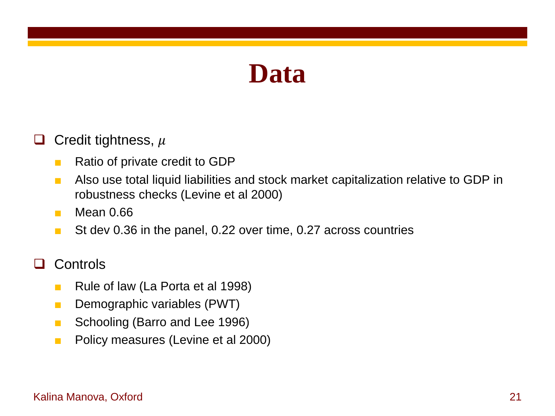### **Data**

#### Credit tightness,  $\mu$

- Ratio of private credit to GDP
- Also use total liquid liabilities and stock market capitalization relative to GDP in robustness checks (Levine et al 2000)
- Mean 0.66
- St dev 0.36 in the panel, 0.22 over time, 0.27 across countries

#### □ Controls

- Rule of law (La Porta et al 1998)
- Demographic variables (PWT)
- Schooling (Barro and Lee 1996)
- Policy measures (Levine et al 2000)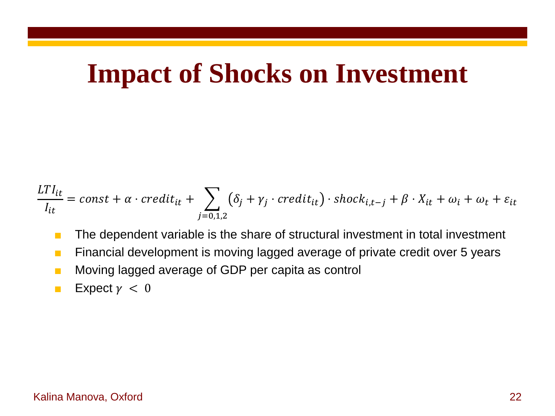### **Impact of Shocks on Investment**

$$
\frac{LTI_{it}}{I_{it}} = const + \alpha \cdot credit_{it} + \sum_{j=0,1,2} (\delta_j + \gamma_j \cdot credit_{it}) \cdot shock_{i,t-j} + \beta \cdot X_{it} + \omega_i + \omega_t + \varepsilon_{it}
$$

- The dependent variable is the share of structural investment in total investment
- Financial development is moving lagged average of private credit over 5 years
- Moving lagged average of GDP per capita as control
- **Expect**  $\gamma < 0$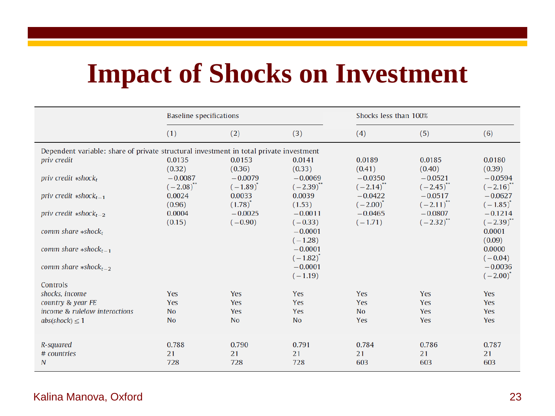# **Impact of Shocks on Investment**

|                                                                                        | <b>Baseline specifications</b> |                                  |                             | Shocks less than 100%       |                            |                             |  |  |
|----------------------------------------------------------------------------------------|--------------------------------|----------------------------------|-----------------------------|-----------------------------|----------------------------|-----------------------------|--|--|
|                                                                                        | (1)                            | (2)                              | (3)                         | (4)                         | (5)                        | (6)                         |  |  |
| Dependent variable: share of private structural investment in total private investment |                                |                                  |                             |                             |                            |                             |  |  |
| priv credit                                                                            | 0.0135<br>(0.32)               | 0.0153<br>(0.36)                 | 0.0141<br>(0.33)            | 0.0189<br>(0.41)            | 0.0185<br>(0.40)           | 0.0180<br>(0.39)            |  |  |
| priv credit $*shock_t$                                                                 | $-0.0087$<br>$(-2.08)^{4}$     | $-0.0079$<br>$(-1.89)^{\dagger}$ | $-0.0069$<br>$(-2.39)^{**}$ | $-0.0350$<br>$(-2.14)^{**}$ | $-0.0521$<br>$(-2.45)^{4}$ | $-0.0594$<br>$(-2.16)^{11}$ |  |  |
| priv credit $*shock_{t-1}$                                                             | 0.0024<br>(0.96)               | 0.0033<br>$(1.78)^{4}$           | 0.0039<br>(1.53)            | $-0.0422$<br>$(-2.00)^*$    | $-0.0517$<br>$(-2.11)^{4}$ | $-0.0627$<br>$(-1.85)^{*}$  |  |  |
| priv credit $*shock_{t-2}$                                                             | 0.0004<br>(0.15)               | $-0.0025$<br>$(-0.90)$           | $-0.0011$<br>$(-0.33)$      | $-0.0465$<br>$(-1.71)$      | $-0.0807$<br>$(-2.32)^{4}$ | $-0.1214$<br>$(-2.39)^{**}$ |  |  |
| comm share $*shock_t$                                                                  |                                |                                  | $-0.0001$<br>$(-1.28)$      |                             |                            | 0.0001<br>(0.09)            |  |  |
| comm share $*shock_{t-1}$                                                              |                                |                                  | $-0.0001$<br>$(-1.82)^{4}$  |                             |                            | 0.0000<br>$(-0.04)$         |  |  |
| comm share $*shock_{t-2}$                                                              |                                |                                  | $-0.0001$                   |                             |                            | $-0.0036$<br>$(-2.00)^*$    |  |  |
| Controls                                                                               |                                |                                  |                             |                             |                            |                             |  |  |
| shocks, income                                                                         | <b>Yes</b>                     | Yes                              | Yes                         | Yes                         | Yes                        | <b>Yes</b>                  |  |  |
|                                                                                        |                                |                                  |                             |                             |                            | Yes                         |  |  |
| $abs(shock) \leq 1$                                                                    | <b>No</b>                      | <b>No</b>                        | <b>No</b>                   | Yes                         | Yes                        | Yes                         |  |  |
| R-squared<br># countries<br>N                                                          | 0.788<br>21<br>728             | 0.790<br>21<br>728               | 0.791<br>21<br>728          | 0.784<br>21<br>603          | 0.786<br>21<br>603         | 0.787<br>21<br>603          |  |  |
| country & year FE<br>income & rulelaw interactions                                     | Yes<br><b>No</b>               | Yes<br>Yes                       | $(-1.19)$<br>Yes<br>Yes     | Yes<br>No                   | Yes<br>Yes                 | <b>Yes</b>                  |  |  |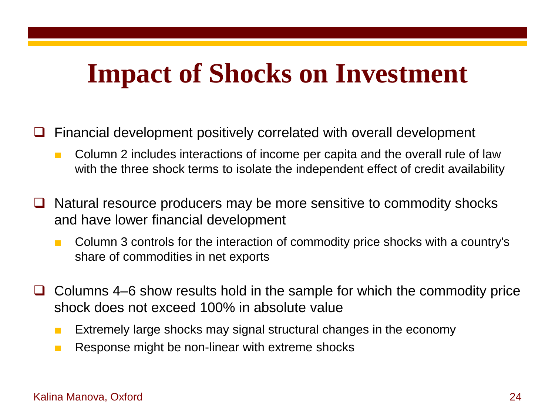## **Impact of Shocks on Investment**

- $\Box$  Financial development positively correlated with overall development
	- Column 2 includes interactions of income per capita and the overall rule of law with the three shock terms to isolate the independent effect of credit availability
- $\Box$  Natural resource producers may be more sensitive to commodity shocks and have lower financial development
	- Column 3 controls for the interaction of commodity price shocks with a country's share of commodities in net exports
- $\Box$  Columns 4–6 show results hold in the sample for which the commodity price shock does not exceed 100% in absolute value
	- Extremely large shocks may signal structural changes in the economy
	- Response might be non-linear with extreme shocks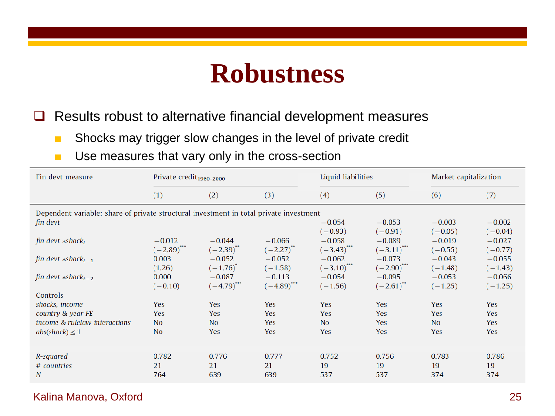### **Robustness**

 $\Box$  Results robust to alternative financial development measures

- Shocks may trigger slow changes in the level of private credit
- Use measures that vary only in the cross-section

| Fin devt measure                                                                                                          | Private credit <sub>1960-2000</sub>       |                                       |                                      | Liquid liabilities                             |                                                   | Market capitalization                          |                                                |  |
|---------------------------------------------------------------------------------------------------------------------------|-------------------------------------------|---------------------------------------|--------------------------------------|------------------------------------------------|---------------------------------------------------|------------------------------------------------|------------------------------------------------|--|
|                                                                                                                           | (1)                                       | (2)                                   | (3)                                  | (4)                                            | (5)                                               | (6)                                            | (7)                                            |  |
| Dependent variable: share of private structural investment in total private investment<br>fin devt<br>fin devt $*shock_t$ | $-0.012$<br>$(-2.89)^{}$                  | $-0.044$<br>$(-2.39)^{4}$             | $-0.066$<br>$(-2.27)^{4}$            | $-0.054$<br>$(-0.93)$<br>$-0.058$<br>$(-3.43)$ | $-0.053$<br>$(-0.91)$<br>$-0.089$<br>$(-3.11)^{}$ | $-0.003$<br>$(-0.05)$<br>$-0.019$<br>$(-0.55)$ | $-0.002$<br>$(-0.04)$<br>$-0.027$<br>$(-0.77)$ |  |
| fin devt $*shock_{t-1}$                                                                                                   | 0.003<br>(1.26)                           | $-0.052$<br>$(-1.76)^{4}$             | $-0.052$<br>$(-1.58)$                | $-0.062$<br>$(-3.10)^{}$                       | $-0.073$<br>$(-2.90)$ <sup>***</sup>              | $-0.043$<br>$(-1.48)$                          | $-0.055$<br>$(-1.43)$                          |  |
| fin devt $*shock_{t-2}$                                                                                                   | 0.000<br>$(-0.10)$                        | $-0.087$<br>$(-4.79)$                 | $-0.113$<br>$(-4.89)$ <sup>***</sup> | $-0.054$<br>$(-1.56)$                          | $-0.095$<br>$(-2.61)^{**}$                        | $-0.053$<br>$(-1.25)$                          | $-0.066$<br>$(-1.25)$                          |  |
| Controls<br>shocks, income<br>country & year FE<br>income & rulelaw interactions<br>$abs(shock) \leq 1$                   | <b>Yes</b><br>Yes<br>No<br>N <sub>0</sub> | Yes<br>Yes<br><b>No</b><br><b>Yes</b> | Yes<br>Yes<br>Yes<br>Yes             | <b>Yes</b><br>Yes<br><b>No</b><br>Yes          | <b>Yes</b><br>Yes<br>Yes<br>Yes                   | <b>Yes</b><br>Yes<br><b>No</b><br>Yes          | Yes<br>Yes<br>Yes<br><b>Yes</b>                |  |
| R-squared<br># countries<br>N                                                                                             | 0.782<br>21<br>764                        | 0.776<br>21<br>639                    | 0.777<br>21<br>639                   | 0.752<br>19<br>537                             | 0.756<br>19<br>537                                | 0.783<br>19<br>374                             | 0.786<br>19<br>374                             |  |

#### Kalina Manova, Oxford 25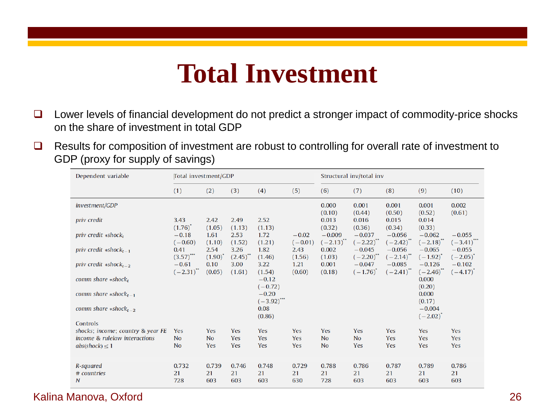### **Total Investment**

- $\Box$  Lower levels of financial development do not predict a stronger impact of commodity-price shocks on the share of investment in total GDP
- $\Box$  Results for composition of investment are robust to controlling for overall rate of investment to GDP (proxy for supply of savings)

| Dependent variable                 | Total investment/GDP          |                               |                |                          | Structural inv/total inv |                           |                                    |                           |                           |                           |
|------------------------------------|-------------------------------|-------------------------------|----------------|--------------------------|--------------------------|---------------------------|------------------------------------|---------------------------|---------------------------|---------------------------|
|                                    | (1)                           | (2)                           | (3)            | (4)                      | (5)                      | (6)                       | (7)                                | (8)                       | (9)                       | (10)                      |
| investment/GDP                     |                               |                               |                |                          |                          | 0.000<br>(0.10)           | 0.001<br>(0.44)                    | 0.001<br>(0.50)           | 0.001<br>(0.52)           | 0.002<br>(0.61)           |
| <i>priv</i> credit                 | 3.43<br>$(1.76)$ <sup>*</sup> | 2.42<br>(1.05)                | 2.49<br>(1.13) | 2.52<br>(1.13)           |                          | 0.013<br>(0.32)           | 0.016<br>(0.36)                    | 0.015<br>(0.34)           | 0.014<br>(0.33)           |                           |
| priv credit $*shock_t$             | $-0.18$<br>$(-0.60)$          | 1.61<br>(1.10)                | 2.53<br>(1.52) | 1.72<br>(1.21)           | $-0.02$<br>$(-0.01)$     | $-0.009$<br>$(-2.13)^{4}$ | $-0.037$<br>$(-2.22)^{44}$         | $-0.056$<br>$(-2.42)^{4}$ | $-0.062$<br>$(-2.18)$     | $-0.055$<br>$(-3.41)^{4}$ |
| priv credit $*shock_{t-1}$         | 0.41<br>$(3.57)$              | 2.54<br>$(1.90)$ <sup>*</sup> | 3.26<br>(2.45) | 1.82<br>(1.46)           | 2.43<br>(1.56)           | 0.002<br>(1.03)           | $-0.045$<br>$(-2.20)^{4}$          | $-0.056$<br>$(-2.14)^{4}$ | $-0.065$<br>$(-1.92)^{*}$ | $-0.055$<br>$(-2.05)^{4}$ |
| priv credit $*shock_{t-2}$         | $-0.61$<br>$(-2.31)^{4}$      | 0.10<br>(0.05)                | 3.00<br>(1.61) | 3.22<br>(1.54)           | 1.21<br>(0.60)           | 0.001<br>(0.18)           | $-0.047$<br>$(-1.76)$ <sup>*</sup> | $-0.085$<br>$(-2.41)^{4}$ | $-0.126$<br>$(-2.46)$     | $-0.102$<br>$(-4.17)$     |
| comm share $*shockt$               |                               |                               |                | $-0.12$<br>$(-0.72)$     |                          |                           |                                    |                           | 0.000<br>(0.20)           |                           |
| comm share $*shock_{t-1}$          |                               |                               |                | $-0.20$<br>$(-3.92)$ *** |                          |                           |                                    |                           | 0.000<br>(0.17)           |                           |
| comm share $*shock$ <sub>t-2</sub> |                               |                               |                | 0.08<br>(0.86)           |                          |                           |                                    |                           | $-0.004$<br>$(-2.02)^{4}$ |                           |
| Controls                           |                               |                               |                |                          |                          |                           |                                    |                           |                           |                           |
| shocks; income; country & year FE  | Yes                           | Yes                           | Yes            | Yes                      | Yes                      | <b>Yes</b>                | Yes                                | Yes                       | <b>Yes</b>                | Yes                       |
| income & rulelaw interactions      | <b>No</b>                     | <b>No</b>                     | Yes            | Yes                      | Yes                      | <b>No</b>                 | <b>No</b>                          | Yes                       | Yes                       | Yes                       |
| $abs(shock) \leq 1$                | <b>No</b>                     | Yes                           | Yes            | Yes                      | Yes                      | <b>No</b>                 | Yes                                | Yes                       | Yes                       | Yes                       |
| R-squared                          | 0.732                         | 0.739                         | 0.746          | 0.748                    | 0.729                    | 0.788                     | 0.786                              | 0.787                     | 0.789                     | 0.786                     |
| # countries                        | 21                            | 21                            | 21             | 21                       | 21                       | 21                        | 21                                 | 21                        | 21                        | 21                        |
| N                                  | 728                           | 603                           | 603            | 603                      | 630                      | 728                       | 603                                | 603                       | 603                       | 603                       |

#### Kalina Manova, Oxford 26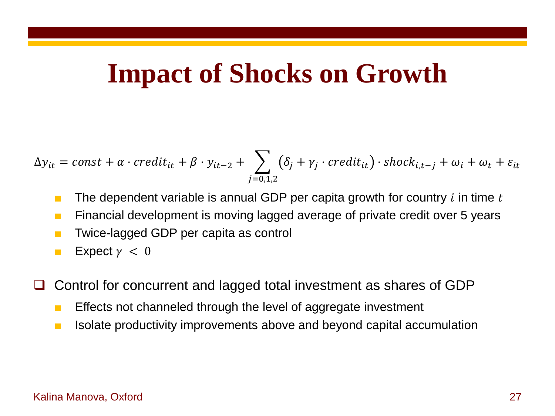### **Impact of Shocks on Growth**

$$
\Delta y_{it} = const + \alpha \cdot credit_{it} + \beta \cdot y_{it-2} + \sum_{j=0,1,2} (\delta_j + \gamma_j \cdot credit_{it}) \cdot shock_{i,t-j} + \omega_i + \omega_t + \varepsilon_{it}
$$

- **The dependent variable is annual GDP per capita growth for country i in time t**
- Financial development is moving lagged average of private credit over 5 years
- Twice-lagged GDP per capita as control
- **Expect**  $\gamma < 0$
- Control for concurrent and lagged total investment as shares of GDP
	- Effects not channeled through the level of aggregate investment
	- Isolate productivity improvements above and beyond capital accumulation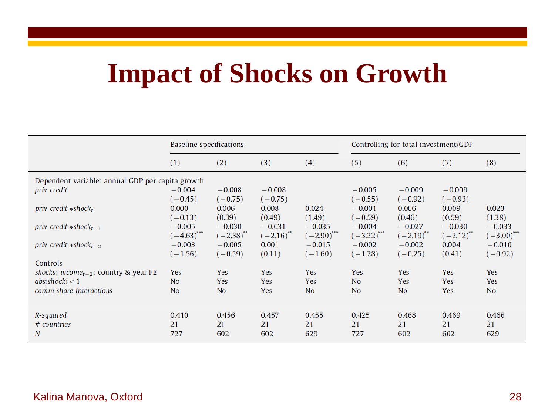# **Impact of Shocks on Growth**

|                                                                                                                 | Baseline specifications                 |                         |                       |                         | Controlling for total investment/GDP    |                         |                       |                         |
|-----------------------------------------------------------------------------------------------------------------|-----------------------------------------|-------------------------|-----------------------|-------------------------|-----------------------------------------|-------------------------|-----------------------|-------------------------|
|                                                                                                                 | (1)                                     | (2)                     | (3)                   | (4)                     | (5)                                     | (6)                     | (7)                   | (8)                     |
| Dependent variable: annual GDP per capita growth<br>priv credit                                                 | $-0.004$<br>$(-0.45)$                   | $-0.008$<br>$(-0.75)$   | $-0.008$<br>$(-0.75)$ |                         | $-0.005$<br>$(-0.55)$                   | $-0.009$<br>$(-0.92)$   | $-0.009$<br>$(-0.93)$ |                         |
| priv credit $*shock_t$                                                                                          | 0.000                                   | 0.006                   | 0.008                 | 0.024                   | $-0.001$                                | 0.006                   | 0.009                 | 0.023                   |
|                                                                                                                 | $(-0.13)$                               | (0.39)                  | (0.49)                | (1.49)                  | $(-0.59)$                               | (0.46)                  | (0.59)                | (1.38)                  |
| priv credit $*shock_{t-1}$                                                                                      | $-0.005$                                | $-0.030$                | $-0.031$              | $-0.035$                | $-0.004$                                | $-0.027$                | $-0.030$              | $-0.033$                |
|                                                                                                                 | $(-4.63)$ <sup>***</sup>                | $(-2.38)^{11}$          | $(-2.16)^{4}$         | $(-2.90)^{}$            | $(-3.22)$ <sup>***</sup>                | $(-2.19)^{11}$          | $(-2.12)^{11}$        | $(-3.00)^{^{\circ}}$    |
| priv credit $*shock_{t-2}$                                                                                      | $-0.003$                                | $-0.005$                | 0.001                 | $-0.015$                | $-0.002$                                | $-0.002$                | 0.004                 | $-0.010$                |
|                                                                                                                 | $(-1.56)$                               | $(-0.59)$               | (0.11)                | $(-1.60)$               | $(-1.28)$                               | $(-0.25)$               | (0.41)                | $(-0.92)$               |
| Controls<br>shocks; income <sub>t-2</sub> ; country & year FE<br>$abs(shock) \leq 1$<br>comm share interactions | Yes<br>N <sub>O</sub><br>N <sub>o</sub> | Yes<br>Yes<br><b>No</b> | Yes<br>Yes<br>Yes     | Yes<br>Yes<br><b>No</b> | Yes<br>N <sub>0</sub><br>N <sub>o</sub> | Yes<br>Yes<br><b>No</b> | Yes<br>Yes<br>Yes     | Yes<br>Yes<br><b>No</b> |
| R-squared                                                                                                       | 0.410                                   | 0.456                   | 0.457                 | 0.455                   | 0.425                                   | 0.468                   | 0.469                 | 0.466                   |
| # countries                                                                                                     | 21                                      | 21                      | 21                    | 21                      | 21                                      | 21                      | 21                    | 21                      |
| N                                                                                                               | 727                                     | 602                     | 602                   | 629                     | 727                                     | 602                     | 602                   | 629                     |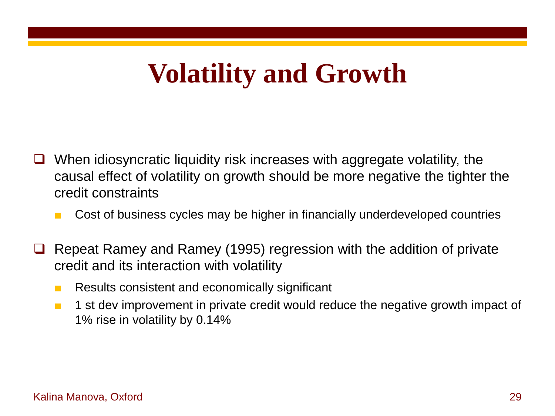# **Volatility and Growth**

- $\Box$  When idiosyncratic liquidity risk increases with aggregate volatility, the causal effect of volatility on growth should be more negative the tighter the credit constraints
	- Cost of business cycles may be higher in financially underdeveloped countries
- $\Box$  Repeat Ramey and Ramey (1995) regression with the addition of private credit and its interaction with volatility
	- Results consistent and economically significant
	- 1 st dev improvement in private credit would reduce the negative growth impact of 1% rise in volatility by 0.14%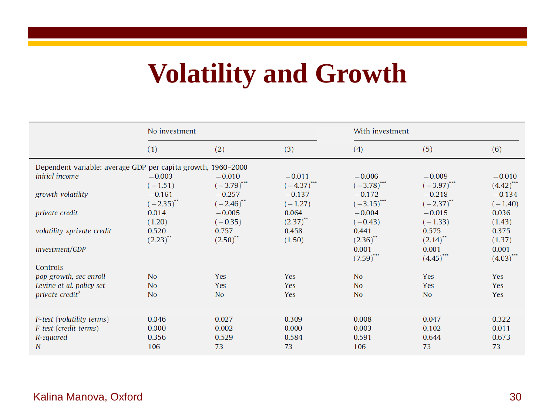# **Volatility and Growth**

|                                                              | No investment          |                         |                | With investment          |                                  |                                  |  |
|--------------------------------------------------------------|------------------------|-------------------------|----------------|--------------------------|----------------------------------|----------------------------------|--|
|                                                              | (1)                    | (2)                     | (3)            | (4)                      | (5)                              | (6)                              |  |
| Dependent variable: average GDP per capita growth, 1960-2000 |                        |                         |                |                          |                                  |                                  |  |
| <i>initial income</i>                                        | $-0.003$               | $-0.010$                | $-0.011$       | $-0.006$                 | $-0.009$                         | $-0.010$                         |  |
|                                                              | $(-1.51)$              | $(-3.79)$ ***           | $(-4.37)$ ***  | $(-3.78)$ <sup>***</sup> | $(-3.97)$                        | $(4.42)$ <sup>***</sup>          |  |
| growth volatility                                            | $-0.161$               | $-0.257$                | $-0.137$       | $-0.172$                 | $-0.218$                         | $-0.134$                         |  |
|                                                              | $(-2.35)^{**}$         | $(-2.46)$ <sup>**</sup> | $(-1.27)$      | $(-3.15)$ ***            | $(-2.37)^{**}$                   | $(-1.40)$                        |  |
| private credit                                               | 0.014                  | $-0.005$                | 0.064          | $-0.004$                 | $-0.015$                         | 0.036                            |  |
|                                                              | (1.20)                 | $(-0.35)$               | $(2.37)^{44}$  | $(-0.43)$                | $(-1.33)$                        | (1.43)                           |  |
| volatility *private credit                                   | 0.520                  | 0.757                   | 0.458          | 0.441                    | 0.575                            | 0.375                            |  |
|                                                              | $(2.23)$ <sup>**</sup> | $(2.50)^{**}$           | (1.50)         | $(2.36)$ <sup>**</sup>   | $(2.14)$ <sup>**</sup>           | (1.37)                           |  |
| investment/GDP                                               |                        |                         |                | 0.001<br>(7.59)          | 0.001<br>$(4.45)$ <sup>***</sup> | 0.001<br>$(4.03)$ <sup>***</sup> |  |
| Controls                                                     |                        |                         |                |                          |                                  |                                  |  |
| pop growth, sec enroll                                       | <b>No</b>              | Yes                     | <b>Yes</b>     | <b>No</b>                | Yes                              | Yes                              |  |
| Levine et al. policy set                                     | <b>No</b>              | Yes                     | <b>Yes</b>     | <b>No</b>                | Yes                              | <b>Yes</b>                       |  |
| private credit <sup>2</sup>                                  | <b>No</b>              | <b>No</b>               | Yes            | <b>No</b>                | No                               | Yes                              |  |
|                                                              |                        |                         |                |                          |                                  |                                  |  |
|                                                              |                        |                         |                |                          |                                  |                                  |  |
| F-test (volatility terms)                                    | 0.046                  | 0.027                   | 0.309<br>0.000 | 0.008<br>0.003           | 0.047<br>0.102                   | 0.322<br>0.011                   |  |
| F-test (credit terms)<br>R-squared                           | 0.000<br>0.356         | 0.002<br>0.529          | 0.584          | 0.591                    | 0.644                            | 0.673                            |  |
| N                                                            | 106                    | 73                      | 73             | 106                      | 73                               | 73                               |  |
|                                                              |                        |                         |                |                          |                                  |                                  |  |